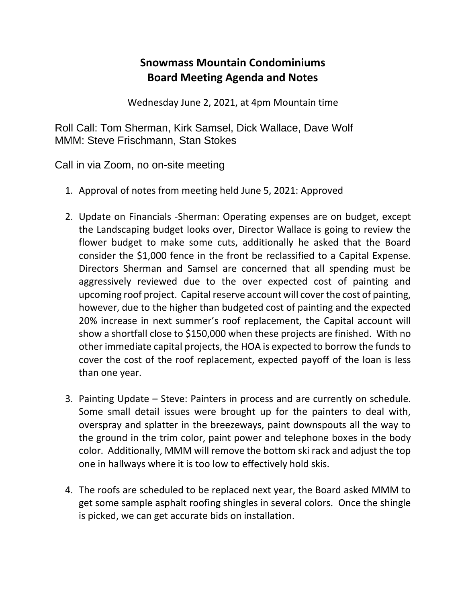## **Snowmass Mountain Condominiums Board Meeting Agenda and Notes**

Wednesday June 2, 2021, at 4pm Mountain time

Roll Call: Tom Sherman, Kirk Samsel, Dick Wallace, Dave Wolf MMM: Steve Frischmann, Stan Stokes

Call in via Zoom, no on-site meeting

- 1. Approval of notes from meeting held June 5, 2021: Approved
- 2. Update on Financials -Sherman: Operating expenses are on budget, except the Landscaping budget looks over, Director Wallace is going to review the flower budget to make some cuts, additionally he asked that the Board consider the \$1,000 fence in the front be reclassified to a Capital Expense. Directors Sherman and Samsel are concerned that all spending must be aggressively reviewed due to the over expected cost of painting and upcoming roof project. Capital reserve account will cover the cost of painting, however, due to the higher than budgeted cost of painting and the expected 20% increase in next summer's roof replacement, the Capital account will show a shortfall close to \$150,000 when these projects are finished. With no other immediate capital projects, the HOA is expected to borrow the funds to cover the cost of the roof replacement, expected payoff of the loan is less than one year.
- 3. Painting Update Steve: Painters in process and are currently on schedule. Some small detail issues were brought up for the painters to deal with, overspray and splatter in the breezeways, paint downspouts all the way to the ground in the trim color, paint power and telephone boxes in the body color. Additionally, MMM will remove the bottom ski rack and adjust the top one in hallways where it is too low to effectively hold skis.
- 4. The roofs are scheduled to be replaced next year, the Board asked MMM to get some sample asphalt roofing shingles in several colors. Once the shingle is picked, we can get accurate bids on installation.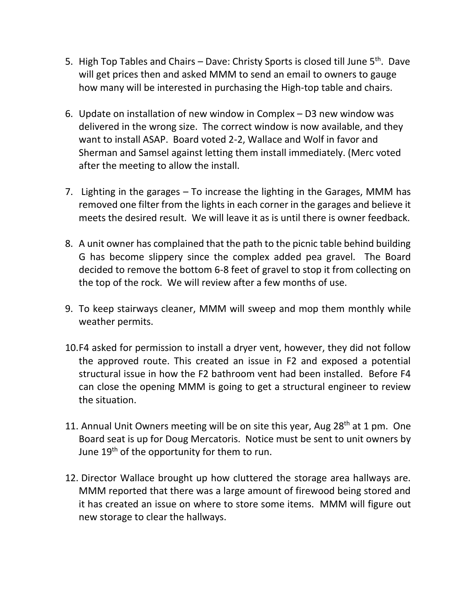- 5. High Top Tables and Chairs Dave: Christy Sports is closed till June  $5<sup>th</sup>$ . Dave will get prices then and asked MMM to send an email to owners to gauge how many will be interested in purchasing the High-top table and chairs.
- 6. Update on installation of new window in Complex D3 new window was delivered in the wrong size. The correct window is now available, and they want to install ASAP. Board voted 2-2, Wallace and Wolf in favor and Sherman and Samsel against letting them install immediately. (Merc voted after the meeting to allow the install.
- 7. Lighting in the garages To increase the lighting in the Garages, MMM has removed one filter from the lights in each corner in the garages and believe it meets the desired result. We will leave it as is until there is owner feedback.
- 8. A unit owner has complained that the path to the picnic table behind building G has become slippery since the complex added pea gravel. The Board decided to remove the bottom 6-8 feet of gravel to stop it from collecting on the top of the rock. We will review after a few months of use.
- 9. To keep stairways cleaner, MMM will sweep and mop them monthly while weather permits.
- 10.F4 asked for permission to install a dryer vent, however, they did not follow the approved route. This created an issue in F2 and exposed a potential structural issue in how the F2 bathroom vent had been installed. Before F4 can close the opening MMM is going to get a structural engineer to review the situation.
- 11. Annual Unit Owners meeting will be on site this year, Aug  $28<sup>th</sup>$  at 1 pm. One Board seat is up for Doug Mercatoris. Notice must be sent to unit owners by June  $19<sup>th</sup>$  of the opportunity for them to run.
- 12. Director Wallace brought up how cluttered the storage area hallways are. MMM reported that there was a large amount of firewood being stored and it has created an issue on where to store some items. MMM will figure out new storage to clear the hallways.